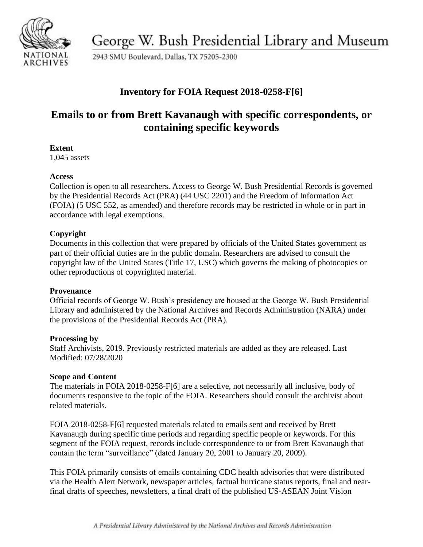

George W. Bush Presidential Library and Museum

2943 SMU Boulevard, Dallas, TX 75205-2300

## **Inventory for FOIA Request 2018-0258-F[6]**

# **Emails to or from Brett Kavanaugh with specific correspondents, or containing specific keywords**

### **Extent**

1,045 assets

### **Access**

Collection is open to all researchers. Access to George W. Bush Presidential Records is governed by the Presidential Records Act (PRA) (44 USC 2201) and the Freedom of Information Act (FOIA) (5 USC 552, as amended) and therefore records may be restricted in whole or in part in accordance with legal exemptions.

## **Copyright**

Documents in this collection that were prepared by officials of the United States government as part of their official duties are in the public domain. Researchers are advised to consult the copyright law of the United States (Title 17, USC) which governs the making of photocopies or other reproductions of copyrighted material.

### **Provenance**

Official records of George W. Bush's presidency are housed at the George W. Bush Presidential Library and administered by the National Archives and Records Administration (NARA) under the provisions of the Presidential Records Act (PRA).

### **Processing by**

Staff Archivists, 2019. Previously restricted materials are added as they are released. Last Modified: 07/28/2020

### **Scope and Content**

The materials in FOIA 2018-0258-F[6] are a selective, not necessarily all inclusive, body of documents responsive to the topic of the FOIA. Researchers should consult the archivist about related materials.

FOIA 2018-0258-F[6] requested materials related to emails sent and received by Brett Kavanaugh during specific time periods and regarding specific people or keywords. For this segment of the FOIA request, records include correspondence to or from Brett Kavanaugh that contain the term "surveillance" (dated January 20, 2001 to January 20, 2009).

This FOIA primarily consists of emails containing CDC health advisories that were distributed via the Health Alert Network, newspaper articles, factual hurricane status reports, final and nearfinal drafts of speeches, newsletters, a final draft of the published US-ASEAN Joint Vision